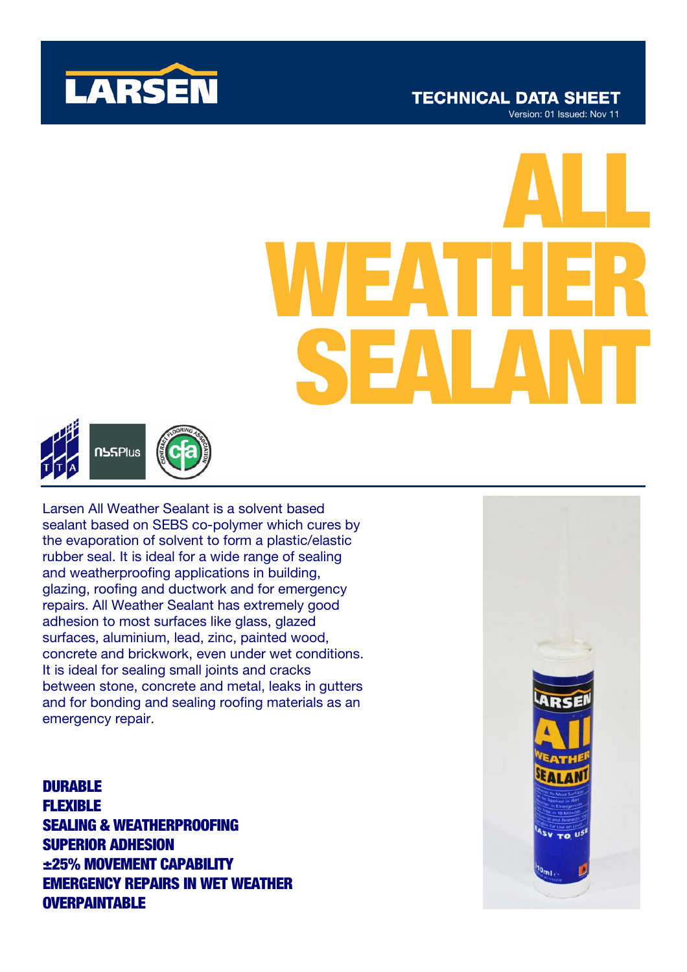

## **TECHNICAL DATA SHEET** Version: 01 Issued: Nov 11

# ALL WEATHER SEALANT



Larsen All Weather Sealant is a solvent based sealant based on SEBS co-polymer which cures by the evaporation of solvent to form a plastic/elastic rubber seal. It is ideal for a wide range of sealing and weatherproofing applications in building, glazing, roofing and ductwork and for emergency repairs. All Weather Sealant has extremely good adhesion to most surfaces like glass, glazed surfaces, aluminium, lead, zinc, painted wood, concrete and brickwork, even under wet conditions. It is ideal for sealing small joints and cracks between stone, concrete and metal, leaks in gutters and for bonding and sealing roofing materials as an emergency repair.

# **DURABLE** FLEXIBLE SEALING & WEATHERPROOFING SUPERIOR ADHESION ±25% MOVEMENT CAPABILITY EMERGENCY REPAIRS IN WET WEATHER **OVERPAINTABLE**

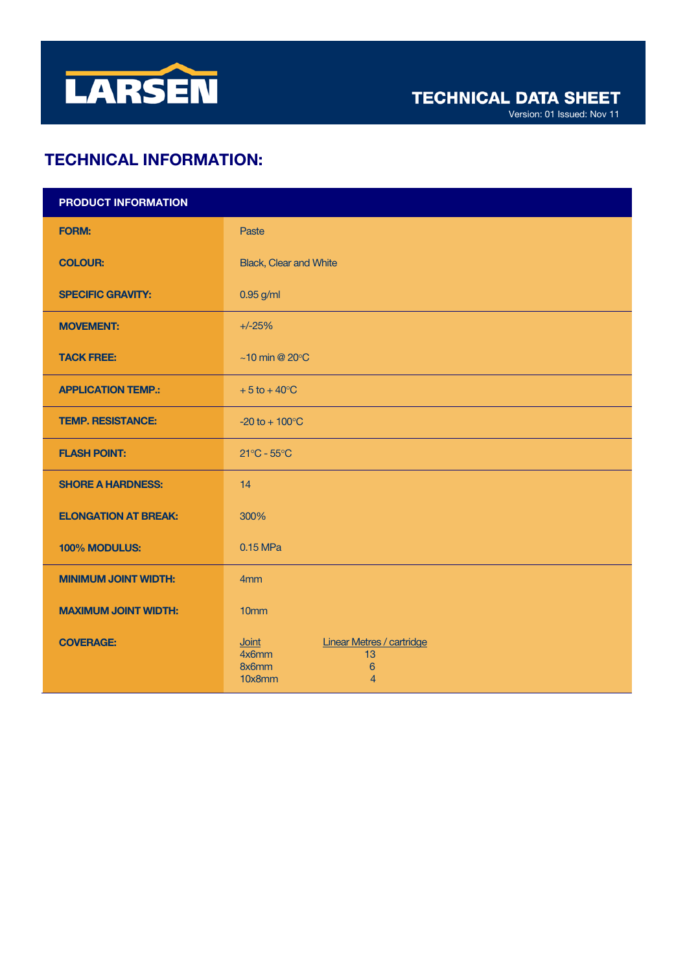

Version: 01 Issued: Nov 11

# TECHNICAL INFORMATION:

| PRODUCT INFORMATION         |                                                                                                                         |
|-----------------------------|-------------------------------------------------------------------------------------------------------------------------|
| <b>FORM:</b>                | Paste                                                                                                                   |
| <b>COLOUR:</b>              | <b>Black, Clear and White</b>                                                                                           |
| <b>SPECIFIC GRAVITY:</b>    | 0.95 g/ml                                                                                                               |
| <b>MOVEMENT:</b>            | $+/-25%$                                                                                                                |
| <b>TACK FREE:</b>           | $~10$ min @ 20 $\degree$ C                                                                                              |
| <b>APPLICATION TEMP.:</b>   | $+5$ to $+40^{\circ}$ C                                                                                                 |
| <b>TEMP. RESISTANCE:</b>    | $-20$ to $+100$ °C                                                                                                      |
| <b>FLASH POINT:</b>         | $21^{\circ}$ C - $55^{\circ}$ C                                                                                         |
| <b>SHORE A HARDNESS:</b>    | 14                                                                                                                      |
| <b>ELONGATION AT BREAK:</b> | 300%                                                                                                                    |
| 100% MODULUS:               | 0.15 MPa                                                                                                                |
| <b>MINIMUM JOINT WIDTH:</b> | 4mm                                                                                                                     |
| <b>MAXIMUM JOINT WIDTH:</b> | 10 <sub>mm</sub>                                                                                                        |
| <b>COVERAGE:</b>            | <b>Linear Metres / cartridge</b><br><b>Joint</b><br>4x6mm<br>13<br>8x6mm<br>$6\phantom{1}6$<br>10x8mm<br>$\overline{4}$ |